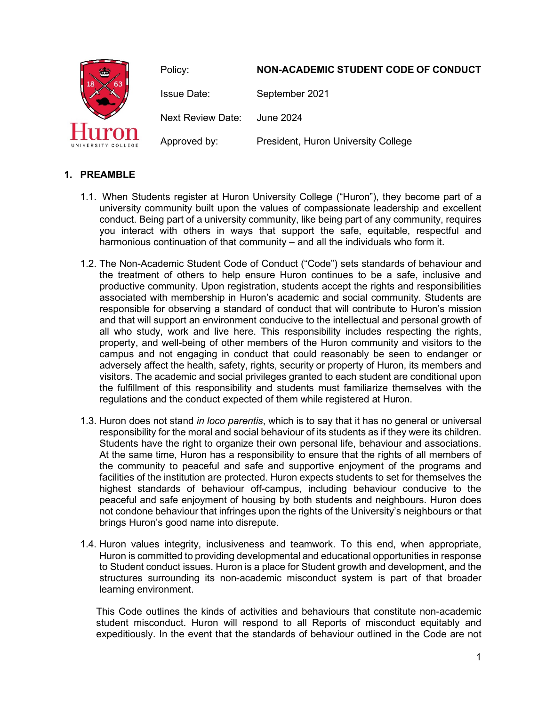

# **1. PREAMBLE**

- 1.1. When Students register at Huron University College ("Huron"), they become part of a university community built upon the values of compassionate leadership and excellent conduct. Being part of a university community, like being part of any community, requires you interact with others in ways that support the safe, equitable, respectful and harmonious continuation of that community – and all the individuals who form it.
- 1.2. The Non-Academic Student Code of Conduct ("Code") sets standards of behaviour and the treatment of others to help ensure Huron continues to be a safe, inclusive and productive community. Upon registration, students accept the rights and responsibilities associated with membership in Huron's academic and social community. Students are responsible for observing a standard of conduct that will contribute to Huron's mission and that will support an environment conducive to the intellectual and personal growth of all who study, work and live here. This responsibility includes respecting the rights, property, and well-being of other members of the Huron community and visitors to the campus and not engaging in conduct that could reasonably be seen to endanger or adversely affect the health, safety, rights, security or property of Huron, its members and visitors. The academic and social privileges granted to each student are conditional upon the fulfillment of this responsibility and students must familiarize themselves with the regulations and the conduct expected of them while registered at Huron.
- 1.3. Huron does not stand *in loco parentis*, which is to say that it has no general or universal responsibility for the moral and social behaviour of its students as if they were its children. Students have the right to organize their own personal life, behaviour and associations. At the same time, Huron has a responsibility to ensure that the rights of all members of the community to peaceful and safe and supportive enjoyment of the programs and facilities of the institution are protected. Huron expects students to set for themselves the highest standards of behaviour off-campus, including behaviour conducive to the peaceful and safe enjoyment of housing by both students and neighbours. Huron does not condone behaviour that infringes upon the rights of the University's neighbours or that brings Huron's good name into disrepute.
- 1.4. Huron values integrity, inclusiveness and teamwork. To this end, when appropriate, Huron is committed to providing developmental and educational opportunities in response to Student conduct issues. Huron is a place for Student growth and development, and the structures surrounding its non-academic misconduct system is part of that broader learning environment.

This Code outlines the kinds of activities and behaviours that constitute non-academic student misconduct. Huron will respond to all Reports of misconduct equitably and expeditiously. In the event that the standards of behaviour outlined in the Code are not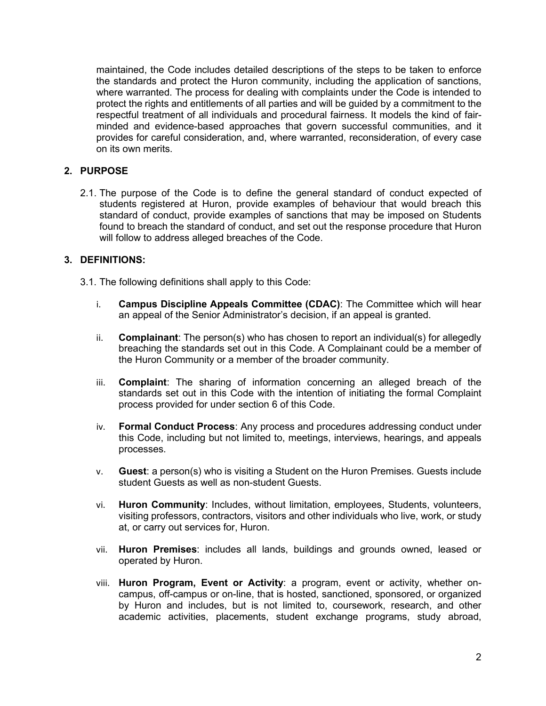maintained, the Code includes detailed descriptions of the steps to be taken to enforce the standards and protect the Huron community, including the application of sanctions, where warranted. The process for dealing with complaints under the Code is intended to protect the rights and entitlements of all parties and will be guided by a commitment to the respectful treatment of all individuals and procedural fairness. It models the kind of fairminded and evidence-based approaches that govern successful communities, and it provides for careful consideration, and, where warranted, reconsideration, of every case on its own merits.

### **2. PURPOSE**

2.1. The purpose of the Code is to define the general standard of conduct expected of students registered at Huron, provide examples of behaviour that would breach this standard of conduct, provide examples of sanctions that may be imposed on Students found to breach the standard of conduct, and set out the response procedure that Huron will follow to address alleged breaches of the Code.

#### **3. DEFINITIONS:**

- 3.1. The following definitions shall apply to this Code:
	- i. **Campus Discipline Appeals Committee (CDAC)**: The Committee which will hear an appeal of the Senior Administrator's decision, if an appeal is granted.
	- ii. **Complainant**: The person(s) who has chosen to report an individual(s) for allegedly breaching the standards set out in this Code. A Complainant could be a member of the Huron Community or a member of the broader community.
	- iii. **Complaint**: The sharing of information concerning an alleged breach of the standards set out in this Code with the intention of initiating the formal Complaint process provided for under section 6 of this Code.
	- iv. **Formal Conduct Process**: Any process and procedures addressing conduct under this Code, including but not limited to, meetings, interviews, hearings, and appeals processes.
	- v. **Guest**: a person(s) who is visiting a Student on the Huron Premises. Guests include student Guests as well as non-student Guests.
	- vi. **Huron Community**: Includes, without limitation, employees, Students, volunteers, visiting professors, contractors, visitors and other individuals who live, work, or study at, or carry out services for, Huron.
	- vii. **Huron Premises**: includes all lands, buildings and grounds owned, leased or operated by Huron.
	- viii. **Huron Program, Event or Activity**: a program, event or activity, whether oncampus, off-campus or on-line, that is hosted, sanctioned, sponsored, or organized by Huron and includes, but is not limited to, coursework, research, and other academic activities, placements, student exchange programs, study abroad,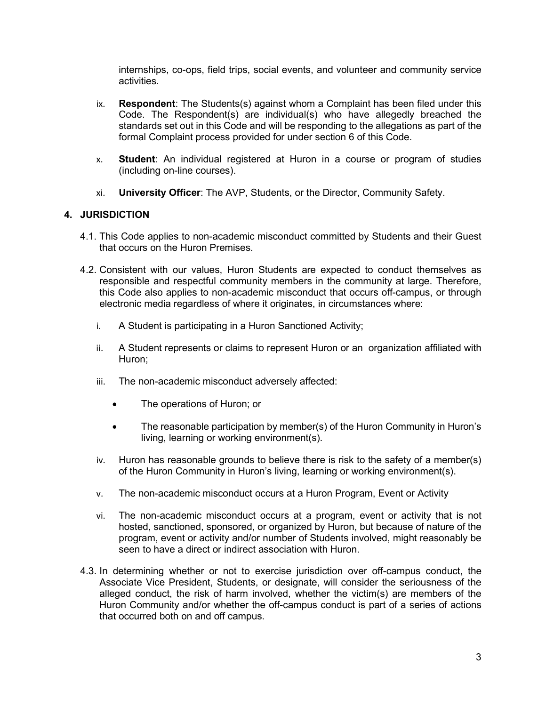internships, co-ops, field trips, social events, and volunteer and community service activities.

- ix. **Respondent**: The Students(s) against whom a Complaint has been filed under this Code. The Respondent(s) are individual(s) who have allegedly breached the standards set out in this Code and will be responding to the allegations as part of the formal Complaint process provided for under section 6 of this Code.
- x. **Student**: An individual registered at Huron in a course or program of studies (including on-line courses).
- xi. **University Officer**: The AVP, Students, or the Director, Community Safety.

#### **4. JURISDICTION**

- 4.1. This Code applies to non-academic misconduct committed by Students and their Guest that occurs on the Huron Premises.
- 4.2. Consistent with our values, Huron Students are expected to conduct themselves as responsible and respectful community members in the community at large. Therefore, this Code also applies to non-academic misconduct that occurs off-campus, or through electronic media regardless of where it originates, in circumstances where:
	- i. A Student is participating in a Huron Sanctioned Activity;
	- ii. A Student represents or claims to represent Huron or an organization affiliated with Huron;
	- iii. The non-academic misconduct adversely affected:
		- The operations of Huron; or
		- The reasonable participation by member(s) of the Huron Community in Huron's living, learning or working environment(s).
	- iv. Huron has reasonable grounds to believe there is risk to the safety of a member(s) of the Huron Community in Huron's living, learning or working environment(s).
	- v. The non-academic misconduct occurs at a Huron Program, Event or Activity
	- vi. The non-academic misconduct occurs at a program, event or activity that is not hosted, sanctioned, sponsored, or organized by Huron, but because of nature of the program, event or activity and/or number of Students involved, might reasonably be seen to have a direct or indirect association with Huron.
- 4.3. In determining whether or not to exercise jurisdiction over off-campus conduct, the Associate Vice President, Students, or designate, will consider the seriousness of the alleged conduct, the risk of harm involved, whether the victim(s) are members of the Huron Community and/or whether the off-campus conduct is part of a series of actions that occurred both on and off campus.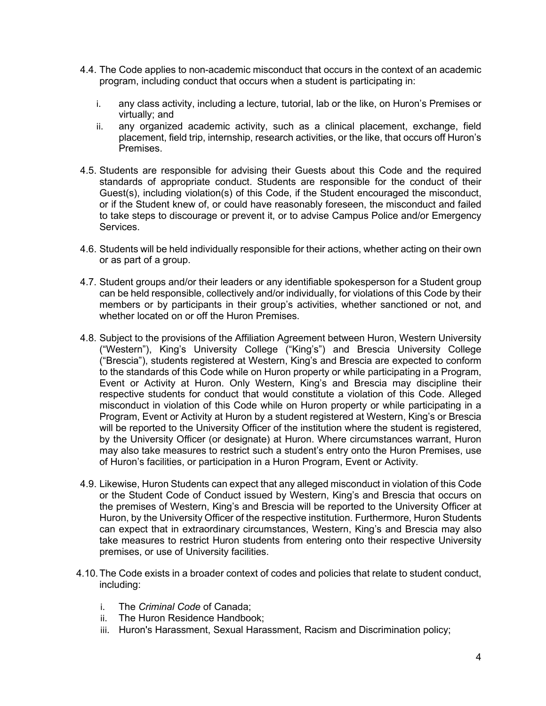- 4.4. The Code applies to non-academic misconduct that occurs in the context of an academic program, including conduct that occurs when a student is participating in:
	- i. any class activity, including a lecture, tutorial, lab or the like, on Huron's Premises or virtually; and
	- ii. any organized academic activity, such as a clinical placement, exchange, field placement, field trip, internship, research activities, or the like, that occurs off Huron's Premises.
- 4.5. Students are responsible for advising their Guests about this Code and the required standards of appropriate conduct. Students are responsible for the conduct of their Guest(s), including violation(s) of this Code, if the Student encouraged the misconduct, or if the Student knew of, or could have reasonably foreseen, the misconduct and failed to take steps to discourage or prevent it, or to advise Campus Police and/or Emergency Services.
- 4.6. Students will be held individually responsible for their actions, whether acting on their own or as part of a group.
- 4.7. Student groups and/or their leaders or any identifiable spokesperson for a Student group can be held responsible, collectively and/or individually, for violations of this Code by their members or by participants in their group's activities, whether sanctioned or not, and whether located on or off the Huron Premises.
- 4.8. Subject to the provisions of the Affiliation Agreement between Huron, Western University ("Western"), King's University College ("King's") and Brescia University College ("Brescia"), students registered at Western, King's and Brescia are expected to conform to the standards of this Code while on Huron property or while participating in a Program, Event or Activity at Huron. Only Western, King's and Brescia may discipline their respective students for conduct that would constitute a violation of this Code. Alleged misconduct in violation of this Code while on Huron property or while participating in a Program, Event or Activity at Huron by a student registered at Western, King's or Brescia will be reported to the University Officer of the institution where the student is registered, by the University Officer (or designate) at Huron. Where circumstances warrant, Huron may also take measures to restrict such a student's entry onto the Huron Premises, use of Huron's facilities, or participation in a Huron Program, Event or Activity.
- 4.9. Likewise, Huron Students can expect that any alleged misconduct in violation of this Code or the Student Code of Conduct issued by Western, King's and Brescia that occurs on the premises of Western, King's and Brescia will be reported to the University Officer at Huron, by the University Officer of the respective institution. Furthermore, Huron Students can expect that in extraordinary circumstances, Western, King's and Brescia may also take measures to restrict Huron students from entering onto their respective University premises, or use of University facilities.
- 4.10.The Code exists in a broader context of codes and policies that relate to student conduct, including:
	- i. The *Criminal Code* of Canada;
	- ii. The Huron Residence Handbook;
	- iii. Huron's Harassment, Sexual Harassment, Racism and Discrimination policy;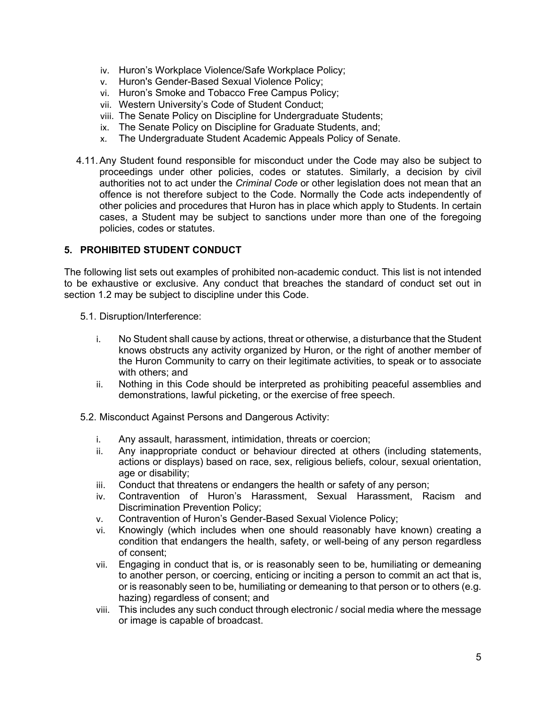- iv. Huron's Workplace Violence/Safe Workplace Policy;
- v. Huron's Gender-Based Sexual Violence Policy;
- vi. Huron's Smoke and Tobacco Free Campus Policy;
- vii. Western University's Code of Student Conduct;
- viii. The Senate Policy on Discipline for Undergraduate Students;
- ix. The Senate Policy on Discipline for Graduate Students, and;
- x. The Undergraduate Student Academic Appeals Policy of Senate.
- 4.11.Any Student found responsible for misconduct under the Code may also be subject to proceedings under other policies, codes or statutes. Similarly, a decision by civil authorities not to act under the *Criminal Code* or other legislation does not mean that an offence is not therefore subject to the Code. Normally the Code acts independently of other policies and procedures that Huron has in place which apply to Students. In certain cases, a Student may be subject to sanctions under more than one of the foregoing policies, codes or statutes.

#### **5. PROHIBITED STUDENT CONDUCT**

The following list sets out examples of prohibited non-academic conduct. This list is not intended to be exhaustive or exclusive. Any conduct that breaches the standard of conduct set out in section 1.2 may be subject to discipline under this Code.

- 5.1. Disruption/Interference:
	- i. No Student shall cause by actions, threat or otherwise, a disturbance that the Student knows obstructs any activity organized by Huron, or the right of another member of the Huron Community to carry on their legitimate activities, to speak or to associate with others; and
	- ii. Nothing in this Code should be interpreted as prohibiting peaceful assemblies and demonstrations, lawful picketing, or the exercise of free speech.
- 5.2. Misconduct Against Persons and Dangerous Activity:
	- i. Any assault, harassment, intimidation, threats or coercion;
	- ii. Any inappropriate conduct or behaviour directed at others (including statements, actions or displays) based on race, sex, religious beliefs, colour, sexual orientation, age or disability;
	- iii. Conduct that threatens or endangers the health or safety of any person;
	- iv. Contravention of Huron's Harassment, Sexual Harassment, Racism and Discrimination Prevention Policy;
	- v. Contravention of Huron's Gender-Based Sexual Violence Policy;
	- vi. Knowingly (which includes when one should reasonably have known) creating a condition that endangers the health, safety, or well-being of any person regardless of consent;
	- vii. Engaging in conduct that is, or is reasonably seen to be, humiliating or demeaning to another person, or coercing, enticing or inciting a person to commit an act that is, or is reasonably seen to be, humiliating or demeaning to that person or to others (e.g. hazing) regardless of consent; and
	- viii. This includes any such conduct through electronic / social media where the message or image is capable of broadcast.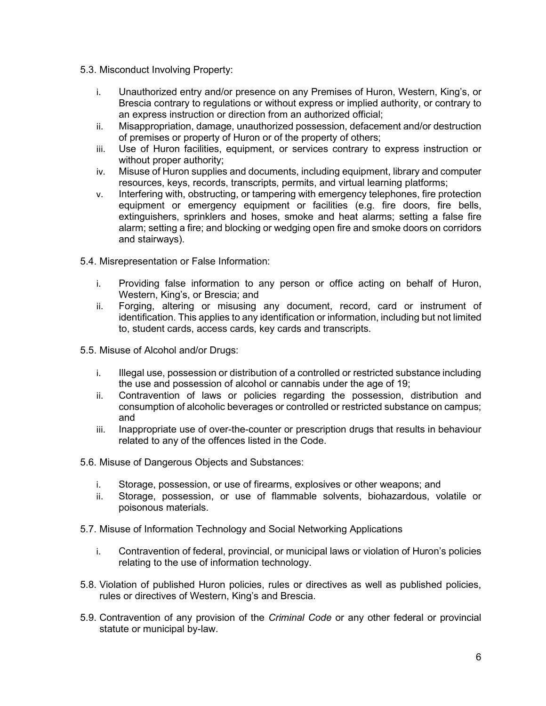- 5.3. Misconduct Involving Property:
	- i. Unauthorized entry and/or presence on any Premises of Huron, Western, King's, or Brescia contrary to regulations or without express or implied authority, or contrary to an express instruction or direction from an authorized official;
	- ii. Misappropriation, damage, unauthorized possession, defacement and/or destruction of premises or property of Huron or of the property of others;
	- iii. Use of Huron facilities, equipment, or services contrary to express instruction or without proper authority;
	- iv. Misuse of Huron supplies and documents, including equipment, library and computer resources, keys, records, transcripts, permits, and virtual learning platforms;
	- v. Interfering with, obstructing, or tampering with emergency telephones, fire protection equipment or emergency equipment or facilities (e.g. fire doors, fire bells, extinguishers, sprinklers and hoses, smoke and heat alarms; setting a false fire alarm; setting a fire; and blocking or wedging open fire and smoke doors on corridors and stairways).
- 5.4. Misrepresentation or False Information:
	- i. Providing false information to any person or office acting on behalf of Huron, Western, King's, or Brescia; and
	- ii. Forging, altering or misusing any document, record, card or instrument of identification. This applies to any identification or information, including but not limited to, student cards, access cards, key cards and transcripts.
- 5.5. Misuse of Alcohol and/or Drugs:
	- i. Illegal use, possession or distribution of a controlled or restricted substance including the use and possession of alcohol or cannabis under the age of 19;
	- ii. Contravention of laws or policies regarding the possession, distribution and consumption of alcoholic beverages or controlled or restricted substance on campus; and
	- iii. Inappropriate use of over-the-counter or prescription drugs that results in behaviour related to any of the offences listed in the Code.
- 5.6. Misuse of Dangerous Objects and Substances:
	- i. Storage, possession, or use of firearms, explosives or other weapons; and
	- ii. Storage, possession, or use of flammable solvents, biohazardous, volatile or poisonous materials.
- 5.7. Misuse of Information Technology and Social Networking Applications
	- i. Contravention of federal, provincial, or municipal laws or violation of Huron's policies relating to the use of information technology.
- 5.8. Violation of published Huron policies, rules or directives as well as published policies, rules or directives of Western, King's and Brescia.
- 5.9. Contravention of any provision of the *Criminal Code* or any other federal or provincial statute or municipal by-law.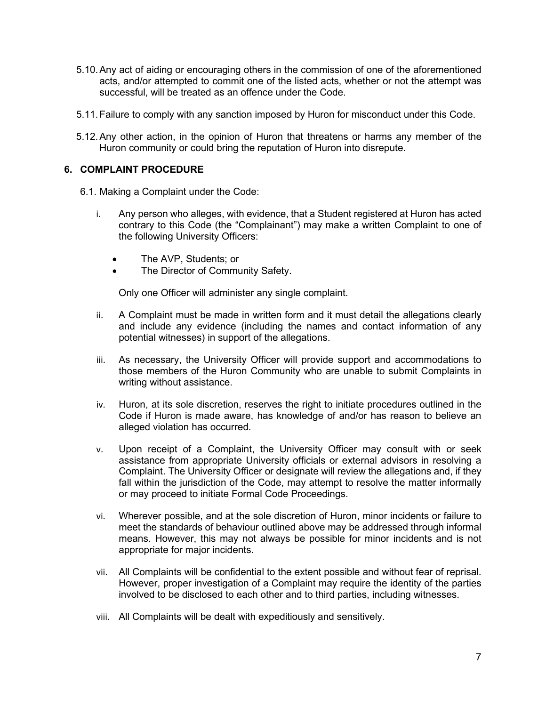- 5.10.Any act of aiding or encouraging others in the commission of one of the aforementioned acts, and/or attempted to commit one of the listed acts, whether or not the attempt was successful, will be treated as an offence under the Code.
- 5.11.Failure to comply with any sanction imposed by Huron for misconduct under this Code.
- 5.12.Any other action, in the opinion of Huron that threatens or harms any member of the Huron community or could bring the reputation of Huron into disrepute.

#### **6. COMPLAINT PROCEDURE**

- 6.1. Making a Complaint under the Code:
	- i. Any person who alleges, with evidence, that a Student registered at Huron has acted contrary to this Code (the "Complainant") may make a written Complaint to one of the following University Officers:
		- The AVP, Students; or
		- The Director of Community Safety.

Only one Officer will administer any single complaint.

- ii. A Complaint must be made in written form and it must detail the allegations clearly and include any evidence (including the names and contact information of any potential witnesses) in support of the allegations.
- iii. As necessary, the University Officer will provide support and accommodations to those members of the Huron Community who are unable to submit Complaints in writing without assistance.
- iv. Huron, at its sole discretion, reserves the right to initiate procedures outlined in the Code if Huron is made aware, has knowledge of and/or has reason to believe an alleged violation has occurred.
- v. Upon receipt of a Complaint, the University Officer may consult with or seek assistance from appropriate University officials or external advisors in resolving a Complaint. The University Officer or designate will review the allegations and, if they fall within the jurisdiction of the Code, may attempt to resolve the matter informally or may proceed to initiate Formal Code Proceedings.
- vi. Wherever possible, and at the sole discretion of Huron, minor incidents or failure to meet the standards of behaviour outlined above may be addressed through informal means. However, this may not always be possible for minor incidents and is not appropriate for major incidents.
- vii. All Complaints will be confidential to the extent possible and without fear of reprisal. However, proper investigation of a Complaint may require the identity of the parties involved to be disclosed to each other and to third parties, including witnesses.
- viii. All Complaints will be dealt with expeditiously and sensitively.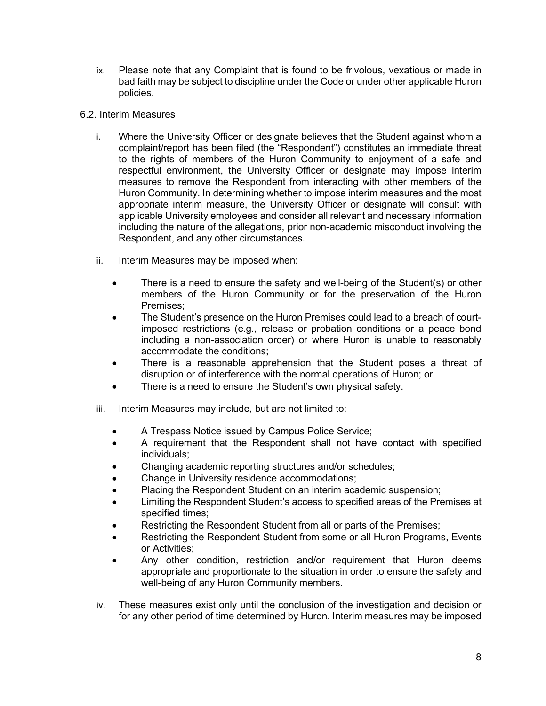- ix. Please note that any Complaint that is found to be frivolous, vexatious or made in bad faith may be subject to discipline under the Code or under other applicable Huron policies.
- 6.2. Interim Measures
	- i. Where the University Officer or designate believes that the Student against whom a complaint/report has been filed (the "Respondent") constitutes an immediate threat to the rights of members of the Huron Community to enjoyment of a safe and respectful environment, the University Officer or designate may impose interim measures to remove the Respondent from interacting with other members of the Huron Community. In determining whether to impose interim measures and the most appropriate interim measure, the University Officer or designate will consult with applicable University employees and consider all relevant and necessary information including the nature of the allegations, prior non-academic misconduct involving the Respondent, and any other circumstances.
	- ii. Interim Measures may be imposed when:
		- There is a need to ensure the safety and well-being of the Student(s) or other members of the Huron Community or for the preservation of the Huron Premises;
		- The Student's presence on the Huron Premises could lead to a breach of courtimposed restrictions (e.g., release or probation conditions or a peace bond including a non-association order) or where Huron is unable to reasonably accommodate the conditions;
		- There is a reasonable apprehension that the Student poses a threat of disruption or of interference with the normal operations of Huron; or
		- There is a need to ensure the Student's own physical safety.
	- iii. Interim Measures may include, but are not limited to:
		- A Trespass Notice issued by Campus Police Service;
		- A requirement that the Respondent shall not have contact with specified individuals;
		- Changing academic reporting structures and/or schedules;
		- Change in University residence accommodations;
		- Placing the Respondent Student on an interim academic suspension;
		- Limiting the Respondent Student's access to specified areas of the Premises at specified times;
		- Restricting the Respondent Student from all or parts of the Premises;
		- Restricting the Respondent Student from some or all Huron Programs, Events or Activities;
		- Any other condition, restriction and/or requirement that Huron deems appropriate and proportionate to the situation in order to ensure the safety and well-being of any Huron Community members.
	- iv. These measures exist only until the conclusion of the investigation and decision or for any other period of time determined by Huron. Interim measures may be imposed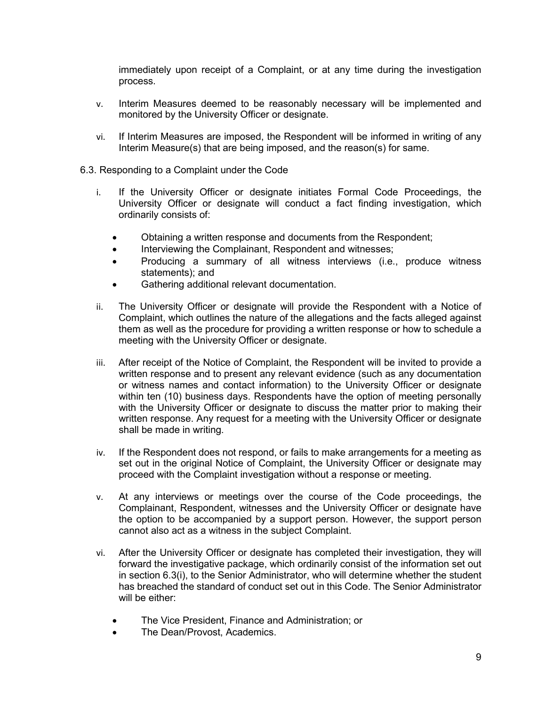immediately upon receipt of a Complaint, or at any time during the investigation process.

- v. Interim Measures deemed to be reasonably necessary will be implemented and monitored by the University Officer or designate.
- vi. If Interim Measures are imposed, the Respondent will be informed in writing of any Interim Measure(s) that are being imposed, and the reason(s) for same.
- 6.3. Responding to a Complaint under the Code
	- i. If the University Officer or designate initiates Formal Code Proceedings, the University Officer or designate will conduct a fact finding investigation, which ordinarily consists of:
		- Obtaining a written response and documents from the Respondent;
		- Interviewing the Complainant, Respondent and witnesses;
		- Producing a summary of all witness interviews (i.e., produce witness statements); and
		- Gathering additional relevant documentation.
	- ii. The University Officer or designate will provide the Respondent with a Notice of Complaint, which outlines the nature of the allegations and the facts alleged against them as well as the procedure for providing a written response or how to schedule a meeting with the University Officer or designate.
	- iii. After receipt of the Notice of Complaint, the Respondent will be invited to provide a written response and to present any relevant evidence (such as any documentation or witness names and contact information) to the University Officer or designate within ten (10) business days. Respondents have the option of meeting personally with the University Officer or designate to discuss the matter prior to making their written response. Any request for a meeting with the University Officer or designate shall be made in writing.
	- iv. If the Respondent does not respond, or fails to make arrangements for a meeting as set out in the original Notice of Complaint, the University Officer or designate may proceed with the Complaint investigation without a response or meeting.
	- v. At any interviews or meetings over the course of the Code proceedings, the Complainant, Respondent, witnesses and the University Officer or designate have the option to be accompanied by a support person. However, the support person cannot also act as a witness in the subject Complaint.
	- vi. After the University Officer or designate has completed their investigation, they will forward the investigative package, which ordinarily consist of the information set out in section 6.3(i), to the Senior Administrator, who will determine whether the student has breached the standard of conduct set out in this Code. The Senior Administrator will be either:
		- The Vice President, Finance and Administration; or
		- The Dean/Provost, Academics.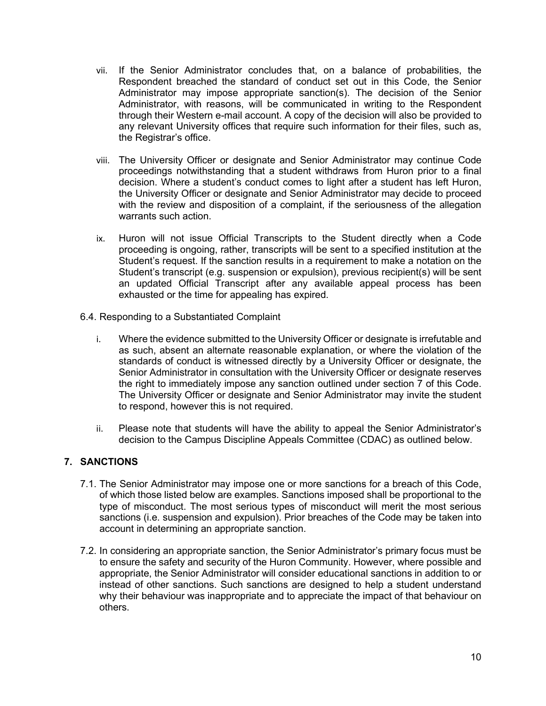- vii. If the Senior Administrator concludes that, on a balance of probabilities, the Respondent breached the standard of conduct set out in this Code, the Senior Administrator may impose appropriate sanction(s). The decision of the Senior Administrator, with reasons, will be communicated in writing to the Respondent through their Western e-mail account. A copy of the decision will also be provided to any relevant University offices that require such information for their files, such as, the Registrar's office.
- viii. The University Officer or designate and Senior Administrator may continue Code proceedings notwithstanding that a student withdraws from Huron prior to a final decision. Where a student's conduct comes to light after a student has left Huron, the University Officer or designate and Senior Administrator may decide to proceed with the review and disposition of a complaint, if the seriousness of the allegation warrants such action.
- ix. Huron will not issue Official Transcripts to the Student directly when a Code proceeding is ongoing, rather, transcripts will be sent to a specified institution at the Student's request. If the sanction results in a requirement to make a notation on the Student's transcript (e.g. suspension or expulsion), previous recipient(s) will be sent an updated Official Transcript after any available appeal process has been exhausted or the time for appealing has expired.
- 6.4. Responding to a Substantiated Complaint
	- i. Where the evidence submitted to the University Officer or designate is irrefutable and as such, absent an alternate reasonable explanation, or where the violation of the standards of conduct is witnessed directly by a University Officer or designate, the Senior Administrator in consultation with the University Officer or designate reserves the right to immediately impose any sanction outlined under section 7 of this Code. The University Officer or designate and Senior Administrator may invite the student to respond, however this is not required.
	- ii. Please note that students will have the ability to appeal the Senior Administrator's decision to the Campus Discipline Appeals Committee (CDAC) as outlined below.

#### **7. SANCTIONS**

- 7.1. The Senior Administrator may impose one or more sanctions for a breach of this Code, of which those listed below are examples. Sanctions imposed shall be proportional to the type of misconduct. The most serious types of misconduct will merit the most serious sanctions (i.e. suspension and expulsion). Prior breaches of the Code may be taken into account in determining an appropriate sanction.
- 7.2. In considering an appropriate sanction, the Senior Administrator's primary focus must be to ensure the safety and security of the Huron Community. However, where possible and appropriate, the Senior Administrator will consider educational sanctions in addition to or instead of other sanctions. Such sanctions are designed to help a student understand why their behaviour was inappropriate and to appreciate the impact of that behaviour on others.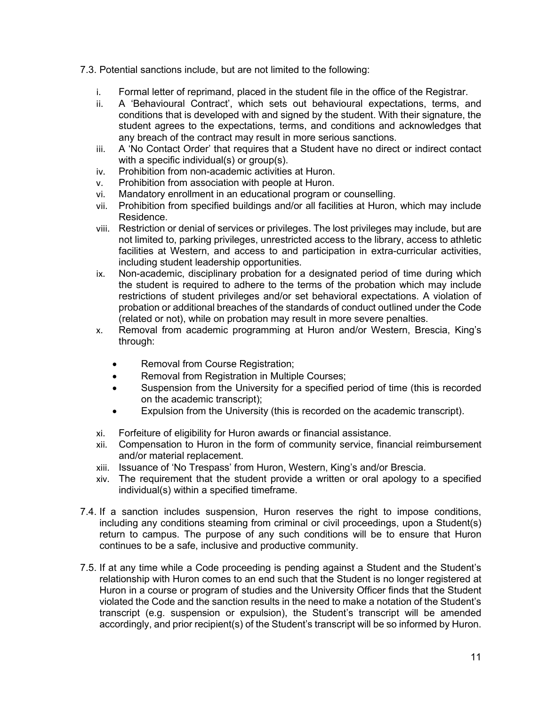- 7.3. Potential sanctions include, but are not limited to the following:
	- i. Formal letter of reprimand, placed in the student file in the office of the Registrar.
	- ii. A 'Behavioural Contract', which sets out behavioural expectations, terms, and conditions that is developed with and signed by the student. With their signature, the student agrees to the expectations, terms, and conditions and acknowledges that any breach of the contract may result in more serious sanctions.
	- iii. A 'No Contact Order' that requires that a Student have no direct or indirect contact with a specific individual(s) or group(s).
	- iv. Prohibition from non-academic activities at Huron.
	- v. Prohibition from association with people at Huron.
	- vi. Mandatory enrollment in an educational program or counselling.
	- vii. Prohibition from specified buildings and/or all facilities at Huron, which may include Residence.
	- viii. Restriction or denial of services or privileges. The lost privileges may include, but are not limited to, parking privileges, unrestricted access to the library, access to athletic facilities at Western, and access to and participation in extra-curricular activities, including student leadership opportunities.
	- ix. Non-academic, disciplinary probation for a designated period of time during which the student is required to adhere to the terms of the probation which may include restrictions of student privileges and/or set behavioral expectations. A violation of probation or additional breaches of the standards of conduct outlined under the Code (related or not), while on probation may result in more severe penalties.
	- x. Removal from academic programming at Huron and/or Western, Brescia, King's through:
		- Removal from Course Registration;
		- Removal from Registration in Multiple Courses;
		- Suspension from the University for a specified period of time (this is recorded on the academic transcript);
		- Expulsion from the University (this is recorded on the academic transcript).
	- xi. Forfeiture of eligibility for Huron awards or financial assistance.
	- xii. Compensation to Huron in the form of community service, financial reimbursement and/or material replacement.
	- xiii. Issuance of 'No Trespass' from Huron, Western, King's and/or Brescia.
	- xiv. The requirement that the student provide a written or oral apology to a specified individual(s) within a specified timeframe.
- 7.4. If a sanction includes suspension, Huron reserves the right to impose conditions, including any conditions steaming from criminal or civil proceedings, upon a Student(s) return to campus. The purpose of any such conditions will be to ensure that Huron continues to be a safe, inclusive and productive community.
- 7.5. If at any time while a Code proceeding is pending against a Student and the Student's relationship with Huron comes to an end such that the Student is no longer registered at Huron in a course or program of studies and the University Officer finds that the Student violated the Code and the sanction results in the need to make a notation of the Student's transcript (e.g. suspension or expulsion), the Student's transcript will be amended accordingly, and prior recipient(s) of the Student's transcript will be so informed by Huron.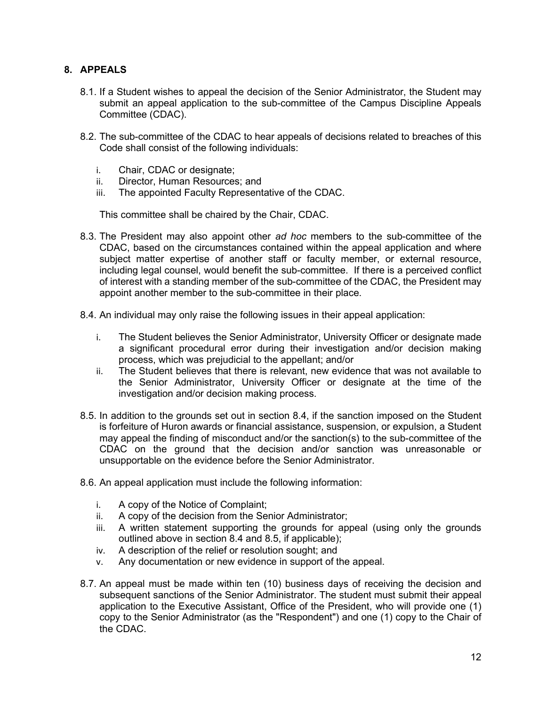## **8. APPEALS**

- 8.1. If a Student wishes to appeal the decision of the Senior Administrator, the Student may submit an appeal application to the sub-committee of the Campus Discipline Appeals Committee (CDAC).
- 8.2. The sub-committee of the CDAC to hear appeals of decisions related to breaches of this Code shall consist of the following individuals:
	- i. Chair, CDAC or designate;
	- ii. Director, Human Resources; and
	- iii. The appointed Faculty Representative of the CDAC.

This committee shall be chaired by the Chair, CDAC.

- 8.3. The President may also appoint other *ad hoc* members to the sub-committee of the CDAC, based on the circumstances contained within the appeal application and where subject matter expertise of another staff or faculty member, or external resource, including legal counsel, would benefit the sub-committee. If there is a perceived conflict of interest with a standing member of the sub-committee of the CDAC, the President may appoint another member to the sub-committee in their place.
- 8.4. An individual may only raise the following issues in their appeal application:
	- i. The Student believes the Senior Administrator, University Officer or designate made a significant procedural error during their investigation and/or decision making process, which was prejudicial to the appellant; and/or
	- ii. The Student believes that there is relevant, new evidence that was not available to the Senior Administrator, University Officer or designate at the time of the investigation and/or decision making process.
- 8.5. In addition to the grounds set out in section 8.4, if the sanction imposed on the Student is forfeiture of Huron awards or financial assistance, suspension, or expulsion, a Student may appeal the finding of misconduct and/or the sanction(s) to the sub-committee of the CDAC on the ground that the decision and/or sanction was unreasonable or unsupportable on the evidence before the Senior Administrator.
- 8.6. An appeal application must include the following information:
	- i. A copy of the Notice of Complaint;
	- ii. A copy of the decision from the Senior Administrator;
	- iii. A written statement supporting the grounds for appeal (using only the grounds outlined above in section 8.4 and 8.5, if applicable);
	- iv. A description of the relief or resolution sought; and
	- v. Any documentation or new evidence in support of the appeal.
- 8.7. An appeal must be made within ten (10) business days of receiving the decision and subsequent sanctions of the Senior Administrator. The student must submit their appeal application to the Executive Assistant, Office of the President, who will provide one (1) copy to the Senior Administrator (as the "Respondent") and one (1) copy to the Chair of the CDAC.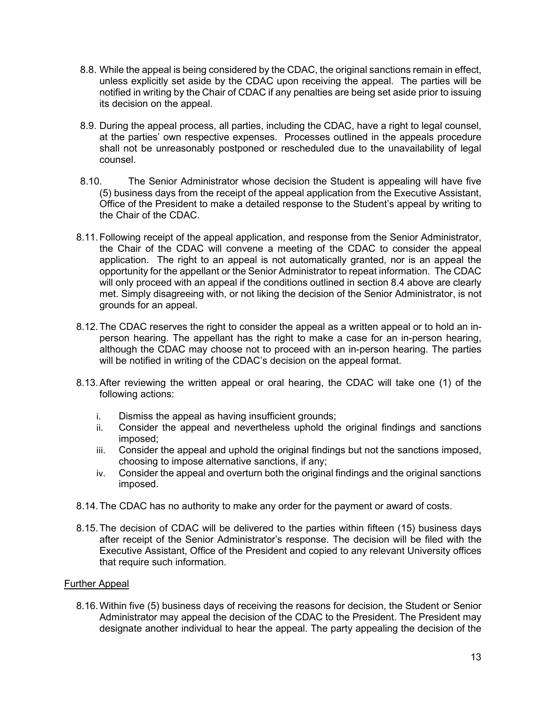- 8.8. While the appeal is being considered by the CDAC, the original sanctions remain in effect, unless explicitly set aside by the CDAC upon receiving the appeal. The parties will be notified in writing by the Chair of CDAC if any penalties are being set aside prior to issuing its decision on the appeal.
- 8.9. During the appeal process, all parties, including the CDAC, have a right to legal counsel, at the parties' own respective expenses. Processes outlined in the appeals procedure shall not be unreasonably postponed or rescheduled due to the unavailability of legal counsel.
- 8.10. The Senior Administrator whose decision the Student is appealing will have five (5) business days from the receipt of the appeal application from the Executive Assistant, Office of the President to make a detailed response to the Student's appeal by writing to the Chair of the CDAC.
- 8.11.Following receipt of the appeal application, and response from the Senior Administrator, the Chair of the CDAC will convene a meeting of the CDAC to consider the appeal application. The right to an appeal is not automatically granted, nor is an appeal the opportunity for the appellant or the Senior Administrator to repeat information. The CDAC will only proceed with an appeal if the conditions outlined in section 8.4 above are clearly met. Simply disagreeing with, or not liking the decision of the Senior Administrator, is not grounds for an appeal.
- 8.12.The CDAC reserves the right to consider the appeal as a written appeal or to hold an inperson hearing. The appellant has the right to make a case for an in-person hearing, although the CDAC may choose not to proceed with an in-person hearing. The parties will be notified in writing of the CDAC's decision on the appeal format.
- 8.13.After reviewing the written appeal or oral hearing, the CDAC will take one (1) of the following actions:
	- i. Dismiss the appeal as having insufficient grounds;
	- ii. Consider the appeal and nevertheless uphold the original findings and sanctions imposed;
	- iii. Consider the appeal and uphold the original findings but not the sanctions imposed, choosing to impose alternative sanctions, if any;
	- iv. Consider the appeal and overturn both the original findings and the original sanctions imposed.
- 8.14.The CDAC has no authority to make any order for the payment or award of costs.
- 8.15.The decision of CDAC will be delivered to the parties within fifteen (15) business days after receipt of the Senior Administrator's response. The decision will be filed with the Executive Assistant, Office of the President and copied to any relevant University offices that require such information.

#### Further Appeal

8.16.Within five (5) business days of receiving the reasons for decision, the Student or Senior Administrator may appeal the decision of the CDAC to the President. The President may designate another individual to hear the appeal. The party appealing the decision of the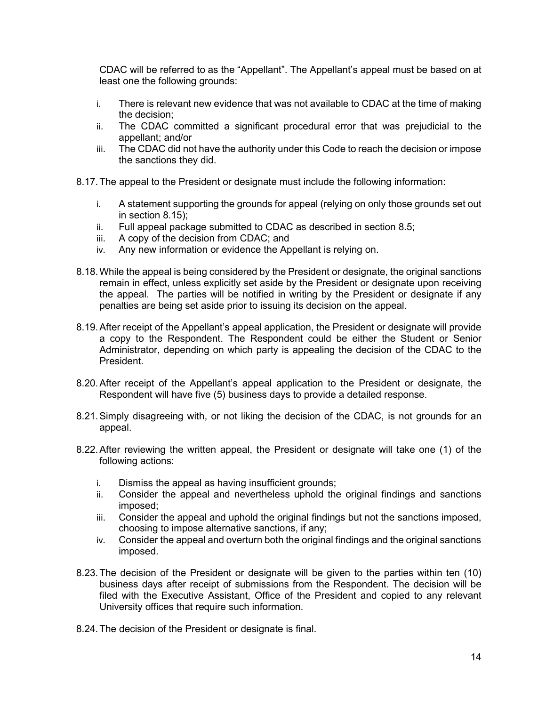CDAC will be referred to as the "Appellant". The Appellant's appeal must be based on at least one the following grounds:

- i. There is relevant new evidence that was not available to CDAC at the time of making the decision;
- ii. The CDAC committed a significant procedural error that was prejudicial to the appellant; and/or
- iii. The CDAC did not have the authority under this Code to reach the decision or impose the sanctions they did.
- 8.17.The appeal to the President or designate must include the following information:
	- i. A statement supporting the grounds for appeal (relying on only those grounds set out in section 8.15);
	- ii. Full appeal package submitted to CDAC as described in section 8.5;
	- iii. A copy of the decision from CDAC; and
	- iv. Any new information or evidence the Appellant is relying on.
- 8.18.While the appeal is being considered by the President or designate, the original sanctions remain in effect, unless explicitly set aside by the President or designate upon receiving the appeal. The parties will be notified in writing by the President or designate if any penalties are being set aside prior to issuing its decision on the appeal.
- 8.19.After receipt of the Appellant's appeal application, the President or designate will provide a copy to the Respondent. The Respondent could be either the Student or Senior Administrator, depending on which party is appealing the decision of the CDAC to the President.
- 8.20.After receipt of the Appellant's appeal application to the President or designate, the Respondent will have five (5) business days to provide a detailed response.
- 8.21.Simply disagreeing with, or not liking the decision of the CDAC, is not grounds for an appeal.
- 8.22.After reviewing the written appeal, the President or designate will take one (1) of the following actions:
	- i. Dismiss the appeal as having insufficient grounds;
	- ii. Consider the appeal and nevertheless uphold the original findings and sanctions imposed;
	- iii. Consider the appeal and uphold the original findings but not the sanctions imposed, choosing to impose alternative sanctions, if any;
	- iv. Consider the appeal and overturn both the original findings and the original sanctions imposed.
- 8.23.The decision of the President or designate will be given to the parties within ten (10) business days after receipt of submissions from the Respondent. The decision will be filed with the Executive Assistant, Office of the President and copied to any relevant University offices that require such information.
- 8.24.The decision of the President or designate is final.